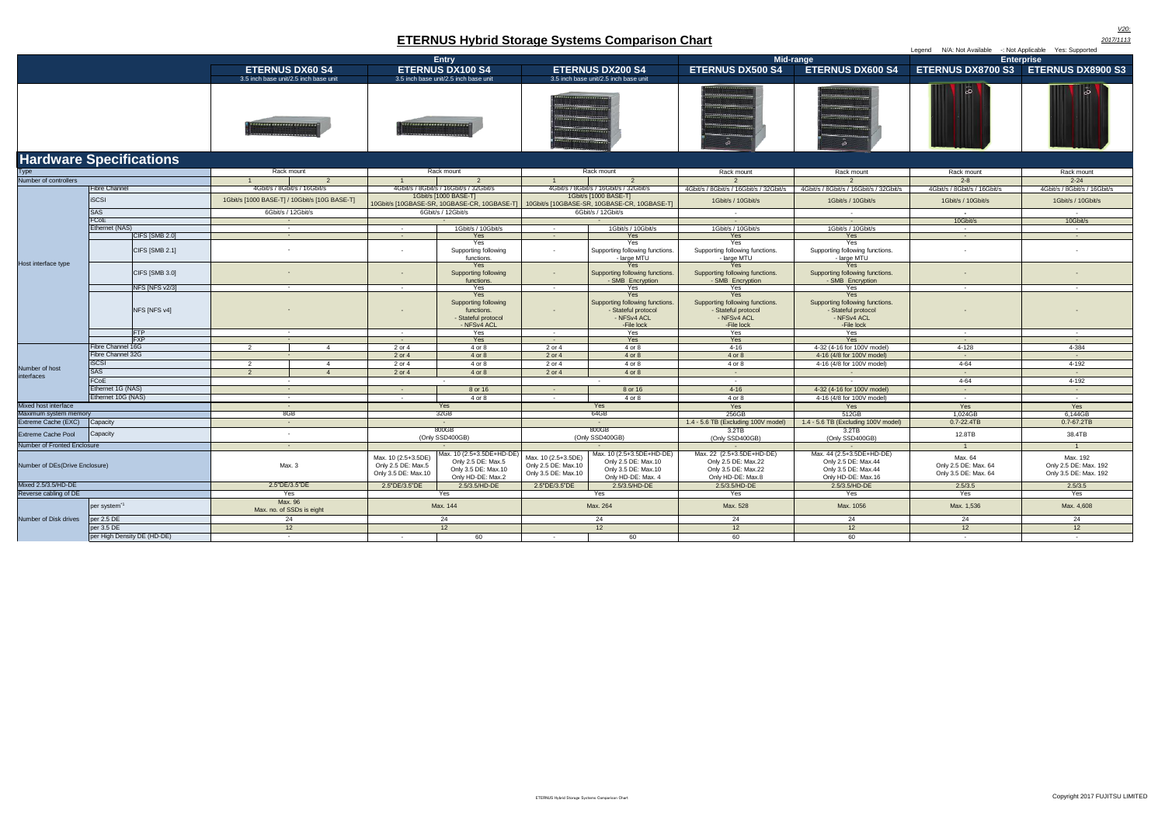| <b>Haranare epositionio</b>    |                             |                                               |                                      |                                                                  |                                                                                                                      |                                                                   |                                                                                               |                                                                                              |                                                                                               |                                                         |                                                            |                              |
|--------------------------------|-----------------------------|-----------------------------------------------|--------------------------------------|------------------------------------------------------------------|----------------------------------------------------------------------------------------------------------------------|-------------------------------------------------------------------|-----------------------------------------------------------------------------------------------|----------------------------------------------------------------------------------------------|-----------------------------------------------------------------------------------------------|---------------------------------------------------------|------------------------------------------------------------|------------------------------|
| Type                           |                             |                                               | Rack mount                           |                                                                  | Rack mount                                                                                                           |                                                                   | Rack mount                                                                                    |                                                                                              | Rack mount                                                                                    | Rack mount                                              | Rack mount                                                 | Rack mount                   |
| Number of controllers          |                             | $\overline{2}$<br>$\overline{1}$              |                                      | 2<br>$\overline{1}$                                              |                                                                                                                      | 2<br>$\overline{1}$                                               |                                                                                               | $\mathcal{P}$                                                                                |                                                                                               | $2 - 8$                                                 | $2 - 24$                                                   |                              |
| Host interface type            | <b>Fibre Channel</b>        |                                               | 4Gbit/s / 8Gbit/s / 16Gbit/s         |                                                                  | 4Gbit/s / 8Gbit/s / 16Gbit/s / 32Gbit/s                                                                              |                                                                   | 4Gbit/s / 8Gbit/s / 16Gbit/s / 32Gbit/s                                                       |                                                                                              | 4Gbit/s / 8Gbit/s / 16Gbit/s / 32Gbit/s                                                       | 4Gbit/s / 8Gbit/s / 16Gbit/s / 32Gbit/s                 | 4Gbit/s / 8Gbit/s / 16Gbit/s                               | 4Gbit/s / 8Gbit/s / 16Gbit/s |
|                                | <b>iSCSI</b>                | 1Gbit/s [1000 BASE-T] / 10Gbit/s [10G BASE-T] |                                      |                                                                  | 1Gbit/s [1000 BASE-T]<br>10Gbit/s [10GBASE-SR, 10GBASE-CR, 10GBASE-T]   10Gbit/s [10GBASE-SR, 10GBASE-CR, 10GBASE-T] |                                                                   | 1Gbit/s [1000 BASE-T]                                                                         | 1Gbit/s / 10Gbit/s                                                                           | 1Gbit/s / 10Gbit/s                                                                            | 1Gbit/s / 10Gbit/s                                      | 1Gbit/s / 10Gbit/s                                         |                              |
|                                | <b>SAS</b>                  | 6Gbit/s / 12Gbit/s                            |                                      | 6Gbit/s / 12Gbit/s                                               |                                                                                                                      |                                                                   | 6Gbit/s / 12Gbit/s                                                                            | $\sim$                                                                                       |                                                                                               | $\sim$                                                  |                                                            |                              |
|                                | FCoE                        | $\sim$                                        |                                      | $\sim$ $-$                                                       |                                                                                                                      |                                                                   | $\sim$ $-$                                                                                    |                                                                                              |                                                                                               | 10Gbit/s                                                | 10Gbit/s                                                   |                              |
|                                | Ethernet (NAS)              | $\sim$                                        |                                      | $\sim$                                                           | 1Gbit/s / 10Gbit/s                                                                                                   | $\sim$                                                            | 1Gbit/s / 10Gbit/s                                                                            | 1Gbit/s / 10Gbit/s                                                                           | 1Gbit/s / 10Gbit/s                                                                            | $\sim 10^{-11}$                                         | $\sim$ $-$                                                 |                              |
|                                | CIFS [SMB 2.0]              | $\sim$                                        |                                      | Yes<br>$\sim$ $-$                                                |                                                                                                                      | $\sim$                                                            | Yes                                                                                           | <b>Yes</b>                                                                                   | Yes                                                                                           | $\sim 10^{-1}$                                          | $\sim 10$                                                  |                              |
|                                | CIFS [SMB 2.1]              |                                               |                                      |                                                                  |                                                                                                                      | Yes<br>Supporting following<br>functions.                         | $\sim$                                                                                        | Yes<br>Supporting following functions.<br>- large MTU                                        | <b>Yes</b><br>Supporting following functions.<br>- large MTU                                  | Yes<br>Supporting following functions.<br>- large MTU   | $\sim$                                                     |                              |
|                                | CIFS [SMB 3.0]              |                                               |                                      | $\sim$                                                           | Yes<br>Supporting following<br>functions.                                                                            | $\sim 10$                                                         | Yes<br>Supporting following functions.<br>- SMB Encryption                                    | Yes<br>Supporting following functions.<br>- SMB Encryption                                   | Yes<br>Supporting following functions.<br>- SMB Encryption                                    | $\sim$                                                  |                                                            |                              |
|                                | NFS [NFS v2/3]              |                                               | $\sim$ $-$                           |                                                                  | $\sim$                                                                                                               | Yes                                                               | $\sim$ $-$                                                                                    | Yes                                                                                          | Yes                                                                                           | Yes                                                     | $\sim$ $-$                                                 | $\sim$                       |
|                                | NFS [NFS v4]                |                                               |                                      |                                                                  | Yes<br>Supporting following<br>functions.<br>- Stateful protocol<br>- NFSv4 ACL                                      | $\sim$                                                            | Yes<br>Supporting following functions.<br>- Stateful protocol<br>- NFSv4 ACL<br>-File lock    | Yes<br>Supporting following functions.<br>- Stateful protocol<br>- NFSv4 ACL<br>-File lock   | Yes<br>Supporting following functions.<br>- Stateful protocol<br>- NFSv4 ACL<br>-File lock    |                                                         |                                                            |                              |
|                                | <b>FTP</b>                  | $\sim$                                        |                                      | $\sim$                                                           | Yes                                                                                                                  | $\sim$ 100 $\mu$                                                  | Yes                                                                                           | Yes                                                                                          | Yes                                                                                           | $\sim$ $-$                                              | $\sim$                                                     |                              |
|                                | <b>FXP</b>                  |                                               | $\sim$ $\sim$                        |                                                                  | $\sim 100$                                                                                                           | Yes                                                               | $\sim$ 10 $\pm$                                                                               | Yes                                                                                          | Yes                                                                                           | Yes                                                     | $\sim$ $-$                                                 | $\sim$ $-$                   |
|                                | Fibre Channel 16G           | 2                                             |                                      | $\mathbf{A}$                                                     | 2 or 4                                                                                                               | 4 or 8                                                            | 2 or 4                                                                                        | 4 or 8                                                                                       | $4 - 16$                                                                                      | 4-32 (4-16 for 100V model)                              | 4-128                                                      | 4-384                        |
|                                | Fibre Channel 32G           |                                               |                                      |                                                                  | 2 or 4                                                                                                               | 4 or 8                                                            | 2 or 4                                                                                        | 4 or 8                                                                                       | 4 or 8                                                                                        | 4-16 (4/8 for 100V model)                               | $\sim$                                                     | $\sim 100$                   |
|                                | <b>ISCSI</b>                | 2                                             |                                      | $\overline{4}$                                                   | 2 or 4                                                                                                               | 4 or 8                                                            | 2 or 4                                                                                        | 4 or 8                                                                                       | 4 or 8                                                                                        | 4-16 (4/8 for 100V model)                               | $4 - 64$                                                   | $4-192$                      |
| Number of host                 | <b>SAS</b>                  | $\overline{2}$                                |                                      | $\boldsymbol{\Lambda}$                                           | 2 or 4                                                                                                               | 4 or 8                                                            | 2 or 4                                                                                        | 4 or 8                                                                                       | $\sim 10^{-10}$                                                                               | $\sim$ $-$                                              | $\sim$                                                     | $\sim 100$                   |
| interfaces                     | FCoE                        | $\sim$                                        |                                      |                                                                  |                                                                                                                      |                                                                   |                                                                                               | $\sim$                                                                                       | $\sim 100$                                                                                    | $\sim$                                                  | $4 - 64$                                                   | 4-192                        |
|                                | Ethernet 1G (NAS)           |                                               |                                      | $\sim$ $-$                                                       |                                                                                                                      | 8 or 16                                                           | $\sim 100$                                                                                    | 8 or 16                                                                                      | $4 - 16$                                                                                      | 4-32 (4-16 for 100V model)                              | <b>Contract</b>                                            | <b>Contract</b>              |
|                                | Ethernet 10G (NAS)          | $\sim$                                        |                                      | $\sim$                                                           | 4 or 8                                                                                                               | $\sim$                                                            | 4 or 8                                                                                        | 4 or 8                                                                                       | 4-16 (4/8 for 100V model)                                                                     | $\sim$ 100 $\mu$                                        | $\sim$ $-$                                                 |                              |
| Mixed host interface           |                             | $\sim$                                        |                                      |                                                                  | Yes                                                                                                                  |                                                                   | Yes                                                                                           | Yes                                                                                          | Yes                                                                                           | Yes                                                     | Yes                                                        |                              |
| Maximum system memory          |                             | 8GB                                           |                                      | 32GB                                                             |                                                                                                                      | 64GB                                                              |                                                                                               | 256GB                                                                                        | 512GB                                                                                         | 1.024GB                                                 | 6.144GB                                                    |                              |
| Extreme Cache (EXC)            | Capacity                    | $\sim$ $-$                                    |                                      | $\sim$                                                           |                                                                                                                      | $\sim$                                                            |                                                                                               | 1.4 - 5.6 TB (Excluding 100V model)                                                          | 1.4 - 5.6 TB (Excluding 100V model)                                                           | 0.7-22.4TB                                              | 0.7-67.2TB                                                 |                              |
| <b>Extreme Cache Pool</b>      | Capacity                    |                                               | $\sim$                               |                                                                  |                                                                                                                      | 800GB<br>(Only SSD400GB)                                          | 800GB<br>(Only SSD400GB)                                                                      |                                                                                              | 3.2TB<br>(Only SSD400GB)                                                                      | 3.2TB<br>(Only SSD400GB)                                | 12.8TB                                                     | 38.4TB                       |
| Number of Fronted Enclosure    |                             | $\sim 100$                                    |                                      |                                                                  |                                                                                                                      |                                                                   |                                                                                               | $\sim$ 10 $\pm$                                                                              | $\sim$ $-$                                                                                    | <b>Contract</b>                                         | $\overline{1}$                                             | $\overline{1}$               |
| Number of DEs(Drive Enclosure) |                             | Max. 3                                        |                                      | Max. 10 (2.5+3.5DE)<br>Only 2.5 DE: Max.5<br>Only 3.5 DE: Max.10 | Max. 10 (2.5+3.5DE+HD-DE)<br>Only 2.5 DE: Max.5<br>Only 3.5 DE: Max.10<br>Only HD-DE: Max.2                          | Max. 10 (2.5+3.5DE)<br>Only 2.5 DE: Max.10<br>Only 3.5 DE: Max.10 | Max. 10 (2.5+3.5DE+HD-DE)<br>Only 2.5 DE: Max.10<br>Only 3.5 DE: Max.10<br>Only HD-DE: Max. 4 | Max. 22 (2.5+3.5DE+HD-DE)<br>Only 2.5 DE: Max.22<br>Only 3.5 DE: Max.22<br>Only HD-DE: Max.8 | Max. 44 (2.5+3.5DE+HD-DE)<br>Only 2.5 DE: Max.44<br>Only 3.5 DE: Max.44<br>Only HD-DE: Max.16 | Max. 64<br>Only 2.5 DE: Max. 64<br>Only 3.5 DE: Max. 64 | Max. 192<br>Only 2.5 DE: Max. 192<br>Only 3.5 DE: Max. 192 |                              |
| Mixed 2.5/3.5/HD-DE            |                             |                                               | 2.5"DE/3.5"DE                        |                                                                  | 2.5"DE/3.5"DE                                                                                                        | 2.5/3.5/HD-DE                                                     | 2.5"DE/3.5"DE                                                                                 | 2.5/3.5/HD-DE                                                                                | 2.5/3.5/HD-DE                                                                                 | 2.5/3.5/HD-DE                                           | 2.5/3.5                                                    | 2.5/3.5                      |
| Reverse cabling of DE          |                             |                                               | Yes                                  |                                                                  |                                                                                                                      | Yes                                                               |                                                                                               | Yes                                                                                          | Yes                                                                                           | Yes                                                     | Yes                                                        | Yes                          |
|                                | per system <sup>*</sup>     |                                               | Max. 96<br>Max. no. of SSDs is eight |                                                                  | Max. 144                                                                                                             |                                                                   | Max. 264                                                                                      |                                                                                              | Max. 528                                                                                      | Max. 1056                                               | Max. 1,536                                                 | Max. 4,608                   |
| Number of Disk drives          | per 2.5 DE                  |                                               | 24                                   |                                                                  |                                                                                                                      | 24                                                                |                                                                                               | 24                                                                                           | 24                                                                                            | 24                                                      | 24                                                         | 24                           |
|                                | per 3.5 DE                  |                                               | 12                                   |                                                                  |                                                                                                                      | 12                                                                |                                                                                               | 12                                                                                           | 12                                                                                            | 12                                                      | 12                                                         | 12                           |
|                                | per High Density DE (HD-DE) |                                               | $\sim$                               |                                                                  |                                                                                                                      | 60                                                                |                                                                                               | 60                                                                                           | 60                                                                                            | 60                                                      |                                                            |                              |

|                                                                                         |                                                                                                            |                                                                                                                        |                                                                                                                                                                                                                               |                                                                                                                    | N/A: Not Available -: Not Applicable Yes: Supported<br>Leaend |  |  |
|-----------------------------------------------------------------------------------------|------------------------------------------------------------------------------------------------------------|------------------------------------------------------------------------------------------------------------------------|-------------------------------------------------------------------------------------------------------------------------------------------------------------------------------------------------------------------------------|--------------------------------------------------------------------------------------------------------------------|---------------------------------------------------------------|--|--|
|                                                                                         | Entry                                                                                                      |                                                                                                                        |                                                                                                                                                                                                                               | Mid-range                                                                                                          | <b>Enterprise</b>                                             |  |  |
| <b>ETERNUS DX60 S4</b>                                                                  | <b>ETERNUS DX100 S4</b>                                                                                    | <b>ETERNUS DX200 S4</b>                                                                                                | <b>ETERNUS DX500 S4</b>                                                                                                                                                                                                       | <b>ETERNUS DX600 S4</b>                                                                                            | ETERNUS DX8700 S3 ETERNUS DX8900 S3                           |  |  |
| 3.5 inch base unit/2.5 inch base unit                                                   | 3.5 inch base unit/2.5 inch base unit                                                                      | 3.5 inch base unit/2.5 inch base unit                                                                                  |                                                                                                                                                                                                                               |                                                                                                                    |                                                               |  |  |
| <b>MARKETSE SECRETISE SERIES CO</b><br><b>CONTRACTOR SERVICES AND ALL AND AND AND A</b> | <b>************************</b><br><b>IN A REAL PROPERTY AND RESIDENTS OF A REPORT OF A REAL PROPERTY.</b> | <b>ARRESTS AND PROPERTY</b><br><b>ANGELEO CONTENTINEE</b><br><b>ROOMANAHAMANAHAMAN</b><br><b>COMMENTANCIAL COMPANY</b> | <b>***********</b><br><u>1999 que seren esas</u><br><b><i><u>STARBOLISHOOD</u></i></b><br>---------------<br>- 2011/11/11/12/2011<br><b>CONTRACTOR</b><br><b><i><u>ASSESSMENT</u></i></b><br><b><i><u>PARADORESSE</u></i></b> | --------------<br><b><i><u>ASSANANNASSAN</u></i></b><br><br><b>STATISTICS</b><br><b>WESTERN COMMUNISTIP</b><br>$-$ |                                                               |  |  |

# **Hardware Specifications**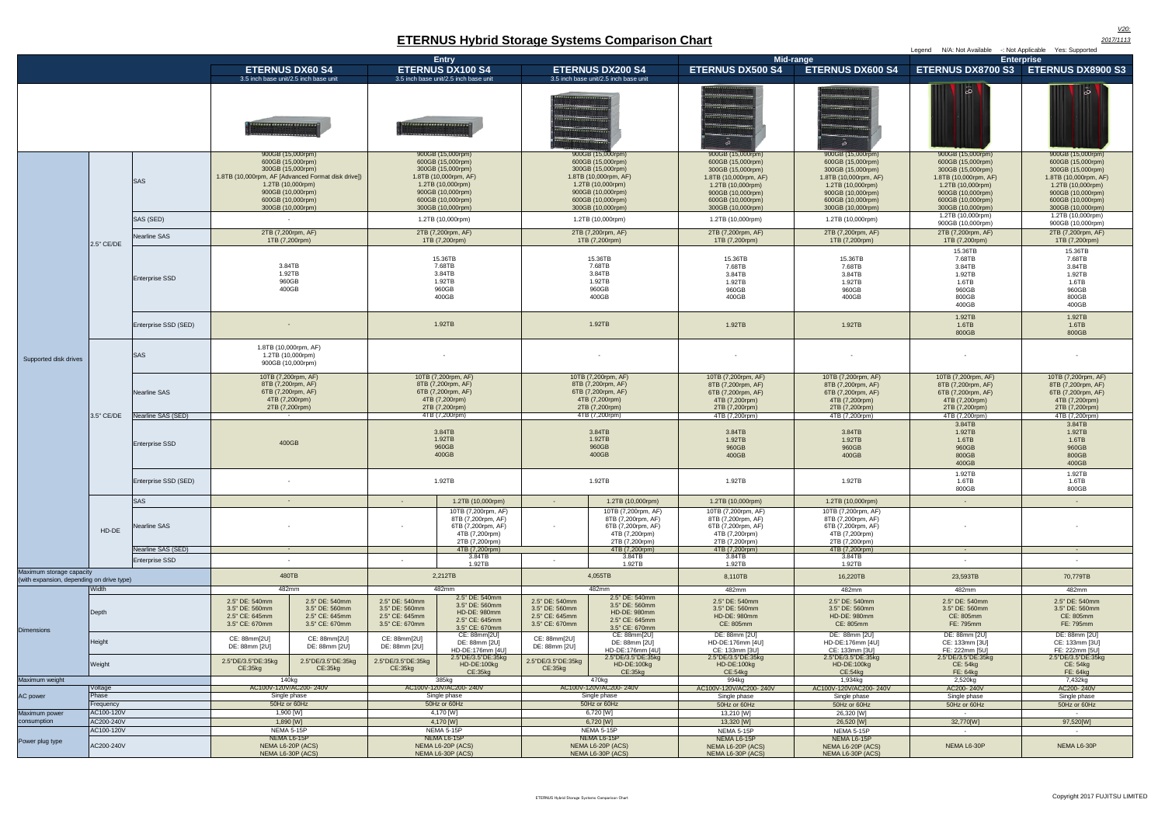|                                                                       |                         |                                             |                                                                                                                                                                                                       |                                                                      |                                                                                                     |                                                                                                                                                                          |                                                                                                     |                                                                                                                                                                          | Legend N/A: Not Available<br>-: Not Applicable Yes: Supported                                                                                                            |                                                                                                                                                                          |                                                                                                                                                                          |                                                                                                                                                                          |
|-----------------------------------------------------------------------|-------------------------|---------------------------------------------|-------------------------------------------------------------------------------------------------------------------------------------------------------------------------------------------------------|----------------------------------------------------------------------|-----------------------------------------------------------------------------------------------------|--------------------------------------------------------------------------------------------------------------------------------------------------------------------------|-----------------------------------------------------------------------------------------------------|--------------------------------------------------------------------------------------------------------------------------------------------------------------------------|--------------------------------------------------------------------------------------------------------------------------------------------------------------------------|--------------------------------------------------------------------------------------------------------------------------------------------------------------------------|--------------------------------------------------------------------------------------------------------------------------------------------------------------------------|--------------------------------------------------------------------------------------------------------------------------------------------------------------------------|
|                                                                       |                         |                                             |                                                                                                                                                                                                       |                                                                      |                                                                                                     | <b>Entry</b>                                                                                                                                                             |                                                                                                     |                                                                                                                                                                          |                                                                                                                                                                          | Mid-range                                                                                                                                                                |                                                                                                                                                                          | <b>Enterprise</b>                                                                                                                                                        |
|                                                                       |                         |                                             | <b>ETERNUS DX60 S4</b>                                                                                                                                                                                |                                                                      |                                                                                                     | <b>ETERNUS DX100 S4</b>                                                                                                                                                  |                                                                                                     | <b>ETERNUS DX200 S4</b>                                                                                                                                                  | <b>ETERNUS DX500 S4</b>                                                                                                                                                  | <b>ETERNUS DX600 S4</b>                                                                                                                                                  |                                                                                                                                                                          | ETERNUS DX8700 S3   ETERNUS DX8900 S3                                                                                                                                    |
|                                                                       |                         |                                             | 3.5 inch base unit/2.5 inch base unit<br><b>BELLEVILLE MANUFACTURERS</b>                                                                                                                              |                                                                      | 3.5 inch base unit/2.5 inch base unit                                                               |                                                                                                                                                                          | 3.5 inch base unit/2.5 inch base unit                                                               |                                                                                                                                                                          |                                                                                                                                                                          | $\circ$                                                                                                                                                                  | ್                                                                                                                                                                        | $\overline{6}$                                                                                                                                                           |
|                                                                       |                         | <b>SAS</b>                                  | 900GB (15,000rpm)<br>600GB (15,000rpm)<br>300GB (15,000rpm)<br>1.8TB (10,000rpm, AF [Advanced Format disk drive])<br>1.2TB (10,000rpm)<br>900GB (10,000rpm)<br>600GB (10,000rpm)<br>300GB (10,000rpm) |                                                                      |                                                                                                     | 900GB (15,000rpm)<br>600GB (15,000rpm)<br>300GB (15,000rpm)<br>1.8TB (10,000rpm, AF)<br>1.2TB (10,000rpm)<br>900GB (10,000rpm)<br>600GB (10,000rpm)<br>300GB (10,000rpm) |                                                                                                     | 900GB (15,000rpm)<br>600GB (15,000rpm)<br>300GB (15,000rpm)<br>1.8TB (10,000rpm, AF)<br>1.2TB (10,000rpm)<br>900GB (10,000rpm)<br>600GB (10,000rpm)<br>300GB (10,000rpm) | 900GB (15,000rpm)<br>600GB (15,000rpm)<br>300GB (15,000rpm)<br>1.8TB (10,000rpm, AF)<br>1.2TB (10,000rpm)<br>900GB (10,000rpm)<br>600GB (10,000rpm)<br>300GB (10,000rpm) | 900GB (15,000rpm)<br>600GB (15,000rpm)<br>300GB (15,000rpm)<br>1.8TB (10,000rpm, AF)<br>1.2TB (10,000rpm)<br>900GB (10,000rpm)<br>600GB (10,000rpm)<br>300GB (10,000rpm) | 900GB (15,000rpm)<br>600GB (15,000rpm)<br>300GB (15,000rpm)<br>1.8TB (10,000rpm, AF)<br>1.2TB (10,000rpm)<br>900GB (10,000rpm)<br>600GB (10,000rpm)<br>300GB (10,000rpm) | 900GB (15,000rpm)<br>600GB (15,000rpm)<br>300GB (15,000rpm)<br>1.8TB (10,000rpm, AF)<br>1.2TB (10,000rpm)<br>900GB (10,000rpm)<br>600GB (10,000rpm)<br>300GB (10,000rpm) |
|                                                                       |                         | SAS (SED)                                   |                                                                                                                                                                                                       |                                                                      |                                                                                                     | 1.2TB (10,000rpm)                                                                                                                                                        |                                                                                                     | 1.2TB (10,000rpm)                                                                                                                                                        | 1.2TB (10,000rpm)                                                                                                                                                        | 1.2TB (10,000rpm)                                                                                                                                                        | 1.2TB (10,000rpm)<br>900GB (10,000rpm)                                                                                                                                   | 1.2TB (10,000rpm)<br>900GB (10,000rpm)                                                                                                                                   |
|                                                                       |                         | Nearline SAS                                | 2TB (7,200rpm, AF)                                                                                                                                                                                    |                                                                      |                                                                                                     | 2TB (7,200rpm, AF)                                                                                                                                                       |                                                                                                     | 2TB (7,200rpm, AF)                                                                                                                                                       | 2TB (7,200rpm, AF)                                                                                                                                                       | 2TB (7,200rpm, AF)                                                                                                                                                       | 2TB (7,200rpm, AF)                                                                                                                                                       | 2TB (7,200rpm, AF)                                                                                                                                                       |
|                                                                       | 2.5" CE/DE              |                                             | 1TB (7,200rpm)                                                                                                                                                                                        |                                                                      |                                                                                                     | 1TB (7,200rpm)                                                                                                                                                           |                                                                                                     | 1TB (7,200rpm)                                                                                                                                                           | 1TB (7,200rpm)                                                                                                                                                           | 1TB (7,200rpm)                                                                                                                                                           | 1TB (7,200rpm)<br>15.36TB                                                                                                                                                | 1TB (7,200rpm)<br>15.36TB                                                                                                                                                |
|                                                                       |                         | <b>Enterprise SSD</b>                       | 3.84TB<br>1.92TB<br>960GB<br>400GB                                                                                                                                                                    |                                                                      | 15.36TB<br>7.68TB<br>3.84TB<br>1.92TB<br>960GB<br>400GB                                             |                                                                                                                                                                          | 15.36TB<br>7.68TB<br>3.84TB<br>1.92TB<br>960GB<br>400GB                                             |                                                                                                                                                                          | 15.36TB<br>7.68TB<br>3.84TB<br>1.92TB<br>960GB<br>400GB                                                                                                                  | 15.36TB<br>7.68TB<br>3.84TB<br>1.92TB<br>960GB<br>400GB                                                                                                                  | 7.68TB<br>3.84TB<br>1.92TB<br>1.6TB<br>960GB<br>800GB<br>400GB                                                                                                           | 7.68TB<br>3.84TB<br>1.92TB<br>1.6TB<br>960GB<br>800GB<br>400GB                                                                                                           |
|                                                                       |                         | Enterprise SSD (SED)                        |                                                                                                                                                                                                       |                                                                      | 1.92TB                                                                                              |                                                                                                                                                                          | 1.92TB                                                                                              |                                                                                                                                                                          | 1.92TB                                                                                                                                                                   | 1.92TB                                                                                                                                                                   | 1.92TB<br>1.6TB<br>800GB                                                                                                                                                 | 1.92TB<br>1.6TB<br>800GB                                                                                                                                                 |
| Supported disk drives                                                 | 3.5" CE/DE              | <b>SAS</b>                                  | 1.8TB (10,000rpm, AF)<br>1.2TB (10,000rpm)<br>900GB (10,000rpm)                                                                                                                                       |                                                                      |                                                                                                     |                                                                                                                                                                          |                                                                                                     |                                                                                                                                                                          |                                                                                                                                                                          |                                                                                                                                                                          |                                                                                                                                                                          |                                                                                                                                                                          |
|                                                                       |                         | <b>Nearline SAS</b>                         | 10TB (7,200rpm, AF)<br>8TB (7,200rpm, AF)<br>6TB (7,200rpm, AF)<br>4TB (7,200rpm)<br>2TB (7,200rpm)                                                                                                   |                                                                      | 10TB (7,200rpm, AF)<br>8TB (7,200rpm, AF)<br>6TB (7,200rpm, AF)<br>4TB (7,200rpm)<br>2TB (7,200rpm) |                                                                                                                                                                          | 10TB (7,200rpm, AF)<br>8TB (7,200rpm, AF)<br>6TB (7,200rpm, AF)<br>4TB (7,200rpm)<br>2TB (7,200rpm) |                                                                                                                                                                          | 10TB (7,200rpm, AF)<br>8TB (7,200rpm, AF)<br>6TB (7,200rpm, AF)<br>4TB (7,200rpm)<br>2TB (7,200rpm)                                                                      | 10TB (7,200rpm, AF)<br>8TB (7,200rpm, AF)<br>6TB (7,200rpm, AF)<br>4TB (7,200rpm)<br>2TB (7,200rpm)                                                                      | 10TB (7,200rpm, AF)<br>8TB (7,200rpm, AF)<br>6TB (7,200rpm, AF)<br>4TB (7,200rpm)<br>2TB (7,200rpm)                                                                      | 10TB (7,200rpm, AF)<br>8TB (7,200rpm, AF)<br>6TB (7,200rpm, AF)<br>4TB (7,200rpm)<br>2TB (7,200rpm)                                                                      |
|                                                                       |                         | Nearline SAS (SED)<br><b>Enterprise SSD</b> | 400GB                                                                                                                                                                                                 |                                                                      |                                                                                                     | 4TB (7,200rpm)<br>3.84TB<br>1.92TB<br>960GB<br>400GB                                                                                                                     |                                                                                                     | 4TB (7,200rpm)<br>3.84TB<br>1.92TB<br>960GB<br>400GB                                                                                                                     | 4TB (7,200rpm)<br>3.84TB<br>1.92TB<br>960GB<br>400GB                                                                                                                     | 4TB (7,200rpm)<br>3.84TB<br>1.92TB<br>960GB<br>400GB                                                                                                                     | 4TB (7,200rpm)<br>3.84TB<br>1.92TB<br>1.6TB<br>960GB<br>800GB<br>400GB                                                                                                   | 4TB (7,200rpm)<br>3.84TB<br>1.92TB<br>1.6TB<br>960GB<br>800GB<br>400GB                                                                                                   |
|                                                                       |                         | Enterprise SSD (SED)                        |                                                                                                                                                                                                       |                                                                      | 1.92TB                                                                                              |                                                                                                                                                                          |                                                                                                     | 1.92TB                                                                                                                                                                   | 1.92TB                                                                                                                                                                   | 1.92TB                                                                                                                                                                   | 1.92TB<br>1.6TB<br>800GB                                                                                                                                                 | 1.92TB<br>1.6TB<br>800GB                                                                                                                                                 |
|                                                                       |                         | <b>SAS</b>                                  | $\sim$                                                                                                                                                                                                |                                                                      | $\sim$                                                                                              | 1.2TB (10,000rpm)                                                                                                                                                        | $\sim$                                                                                              | 1.2TB (10,000rpm)                                                                                                                                                        | 1.2TB (10,000rpm)                                                                                                                                                        | 1.2TB (10,000rpm)                                                                                                                                                        | $\sim$                                                                                                                                                                   | $\sim$ $-$                                                                                                                                                               |
|                                                                       | HD-DE                   | <b>Nearline SAS</b>                         |                                                                                                                                                                                                       |                                                                      |                                                                                                     | 10TB (7,200rpm, AF)<br>8TB (7,200rpm, AF)<br>6TB (7,200rpm, AF)<br>4TB (7,200rpm)<br>2TB (7,200rpm)                                                                      | $\sim$                                                                                              | 10TB (7,200rpm, AF)<br>8TB (7,200rpm, AF)<br>6TB (7,200rpm, AF)<br>4TB (7,200rpm)<br>2TB (7,200rpm)                                                                      | 10TB (7,200rpm, AF)<br>8TB (7,200rpm, AF)<br>6TB (7,200rpm, AF)<br>4TB (7,200rpm)<br>2TB (7,200rpm)                                                                      | 10TB (7.200rpm, AF)<br>8TB (7,200rpm, AF)<br>6TB (7,200rpm, AF)<br>4TB (7,200rpm)<br>2TB (7,200rpm)                                                                      |                                                                                                                                                                          |                                                                                                                                                                          |
|                                                                       |                         | Nearline SAS (SED)                          | $\sim 100$                                                                                                                                                                                            |                                                                      |                                                                                                     | 4TB (7,200rpm)                                                                                                                                                           |                                                                                                     | 4TB (7,200rpm)                                                                                                                                                           | 4TB (7,200rpm)                                                                                                                                                           | 4TB (7,200rpm)                                                                                                                                                           | <b>Contract</b>                                                                                                                                                          | <b>Contract</b>                                                                                                                                                          |
|                                                                       |                         | Enterprise SSD                              |                                                                                                                                                                                                       |                                                                      | 3.84TB<br>1.92TB                                                                                    |                                                                                                                                                                          | 3.84TB<br>1.92TB                                                                                    |                                                                                                                                                                          | 3.84TB<br>1.92TB                                                                                                                                                         | 3.84TB<br>1.92TB                                                                                                                                                         |                                                                                                                                                                          |                                                                                                                                                                          |
| Maximum storage capacity<br>(with expansion, depending on drive type) |                         |                                             | 480TB                                                                                                                                                                                                 |                                                                      | 2,212TB                                                                                             |                                                                                                                                                                          | 4,055TB                                                                                             |                                                                                                                                                                          | 8,110TB                                                                                                                                                                  | 16,220TB                                                                                                                                                                 | 23,593TB                                                                                                                                                                 | 70,779TB                                                                                                                                                                 |
|                                                                       | Width<br>Depth          |                                             | 482mm<br>2.5" DE: 540mm<br>3.5" DE: 560mm<br>2.5" CE: 645mm<br>3.5" CE: 670mm                                                                                                                         | 2.5" DE: 540mm<br>3.5" DE: 560mm<br>2.5" CE: 645mm<br>3.5" CE: 670mm | 2.5" DE: 540mm<br>3.5" DE: 560mm<br>2.5" CE: 645mm<br>3.5" CE: 670mm                                | 482mm<br>2.5" DE: 540mm<br>3.5" DE: 560mm<br><b>HD-DE: 980mm</b><br>2.5" CE: 645mm                                                                                       | 2.5" DE: 540mm<br>3.5" DE: 560mm<br>2.5" CE: 645mm<br>3.5" CE: 670mm                                | 482mm<br>2.5" DE: 540mm<br>3.5" DE: 560mm<br>HD-DE: 980mm<br>2.5" CE: 645mm                                                                                              | 482mm<br>2.5" DE: 540mm<br>3.5" DE: 560mm<br>HD-DE: 980mm<br>CE: 805mm                                                                                                   | 482mm<br>2.5" DE: 540mm<br>3.5" DE: 560mm<br>HD-DE: 980mm<br>CE: 805mm                                                                                                   | 482mm<br>2.5" DE: 540mm<br>3.5" DE: 560mm<br>CE: 805mm<br>FE: 795mm                                                                                                      | 482mm<br>2.5" DE: 540mm<br>3.5" DE: 560mm<br>CE: 805mm<br>FE: 795mm                                                                                                      |
| <b>Dimensions</b>                                                     | Height                  |                                             | CE: 88mm[2U]<br>DE: 88mm [2U]                                                                                                                                                                         | CE: 88mm[2U]<br>DE: 88mm [2U]                                        | CE: 88mm[2U]<br>DE: 88mm [2U]                                                                       | 3.5" CE: 670mm<br>CE: 88mm[2U]<br>DE: 88mm [2U]<br>HD-DE:176mm [4U]                                                                                                      | CE: 88mm[2U]<br>DE: 88mm [2U]                                                                       | 3.5" CE: 670mm<br>CE: 88mm[2U]<br>DE: 88mm [2U]<br>HD-DE:176mm [4U]                                                                                                      | DE: 88mm [2U]<br>HD-DE:176mm [4U]<br>CE: 133mm [3U]                                                                                                                      | DE: 88mm [2U]<br>HD-DE:176mm [4U]<br>CE: 133mm [3U]                                                                                                                      | DE: 88mm [2U]<br>CE: 133mm [3U]<br>FE: 222mm [5U]                                                                                                                        | DE: 88mm [2U]<br>CE: 133mm [3U]<br>FE: 222mm [5U]                                                                                                                        |
|                                                                       | Weight                  |                                             | 2.5"DE/3.5"DE:35kg<br>CE:35kg                                                                                                                                                                         | 2.5"DE/3.5"DE:35kg<br>CE:35kg                                        | 2.5"DE/3.5"DE:35kg<br>CE:35kg                                                                       | 2.5"DE/3.5"DE:35kg<br>HD-DE:100kg<br>CE:35kq                                                                                                                             | 2.5"DE/3.5"DE:35kg<br>CE:35kg                                                                       | 2.5"DE/3.5"DE:35kg<br>HD-DE:100kg<br>CE:35kg                                                                                                                             | 2.5"DE/3.5"DE:35kg<br>HD-DE:100kg<br>CE:54kg                                                                                                                             | 2.5"DE/3.5"DE:35kg<br>HD-DE:100kg<br>CE:54kg                                                                                                                             | 2.5"DE/3.5"DE:35kg<br>CE: 54kg<br>FE: 64kg                                                                                                                               | 2.5"DE/3.5"DE:35kg<br>CE: 54kg<br>FE: 64kg                                                                                                                               |
| Maximum weight                                                        |                         |                                             | 140kg                                                                                                                                                                                                 |                                                                      |                                                                                                     | 385kg                                                                                                                                                                    |                                                                                                     | 470kg                                                                                                                                                                    | 994kg                                                                                                                                                                    | 1,934kg                                                                                                                                                                  | 2,520kg                                                                                                                                                                  | 7,432kg                                                                                                                                                                  |
|                                                                       | Voltage                 |                                             | AC100V-120V/AC200-240V                                                                                                                                                                                |                                                                      |                                                                                                     | AC100V-120V/AC200-240V                                                                                                                                                   |                                                                                                     | AC100V-120V/AC200-240V                                                                                                                                                   | AC100V-120V/AC200-240V                                                                                                                                                   | AC100V-120V/AC200-240V                                                                                                                                                   | AC200-240V                                                                                                                                                               | AC200-240V                                                                                                                                                               |
| AC power                                                              | Phase                   |                                             | Single phase                                                                                                                                                                                          |                                                                      |                                                                                                     | Single phase<br>50Hz or 60Hz                                                                                                                                             |                                                                                                     | Single phase<br>50Hz or 60Hz                                                                                                                                             | Single phase                                                                                                                                                             | Single phase                                                                                                                                                             | Single phase                                                                                                                                                             | Single phase                                                                                                                                                             |
| Maximum power                                                         | Frequency<br>AC100-120V |                                             | 50Hz or 60Hz<br>1,900 [W]                                                                                                                                                                             |                                                                      |                                                                                                     | 4,170 [W]                                                                                                                                                                |                                                                                                     | 6,720 [W]                                                                                                                                                                | 50Hz or 60Hz<br>13,210 [W]                                                                                                                                               | 50Hz or 60Hz<br>26,320 [W]                                                                                                                                               | 50Hz or 60Hz<br>$\sim$ $-$                                                                                                                                               | 50Hz or 60Hz<br>$\sim$                                                                                                                                                   |
| consumption                                                           | AC200-240V              |                                             | $1,890$ [W]                                                                                                                                                                                           |                                                                      |                                                                                                     | 4,170 [W]                                                                                                                                                                |                                                                                                     | 6,720 [W]                                                                                                                                                                | 13,320 [W]                                                                                                                                                               | 26,520 [W]                                                                                                                                                               | 32,770[W]                                                                                                                                                                | 97,520[W]                                                                                                                                                                |
|                                                                       | AC100-120V              |                                             | <b>NEMA 5-15P</b>                                                                                                                                                                                     |                                                                      |                                                                                                     | NEMA 5-15P                                                                                                                                                               |                                                                                                     | <b>NEMA 5-15P</b>                                                                                                                                                        | <b>NEMA 5-15P</b>                                                                                                                                                        | NEMA 5-15P                                                                                                                                                               | $\sim$ $-$                                                                                                                                                               | $\sim$ $-$                                                                                                                                                               |
| Power plug type<br>AC200-240V                                         |                         |                                             | NEMA L6-15P<br>NEMA L6-20P (ACS)<br>NEMA L6-30P (ACS)                                                                                                                                                 |                                                                      | NEMA L6-15P<br>NEMA L6-20P (ACS)<br>NEMA L6-30P (ACS)                                               |                                                                                                                                                                          | NEMA L6-15P<br>NEMA L6-20P (ACS)<br>NEMA L6-30P (ACS)                                               |                                                                                                                                                                          | NEMA L6-15P<br>NEMA L6-20P (ACS)<br>NEMA L6-30P (ACS)                                                                                                                    | NEMA L6-15P<br>NEMA L6-20P (ACS)<br>NEMA L6-30P (ACS)                                                                                                                    | NEMA L6-30P                                                                                                                                                              | NEMA L6-30P                                                                                                                                                              |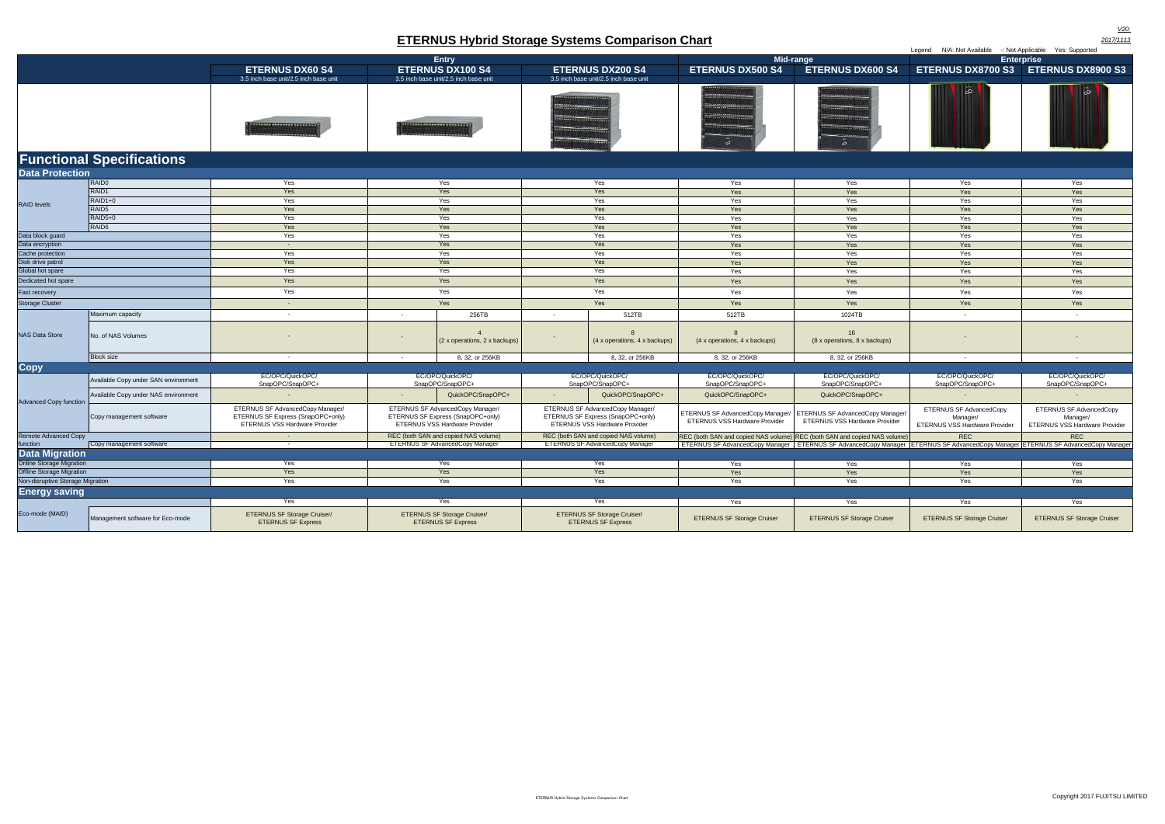|                                                                                | Mid-range                                                                                                                                                                                                                            |                                                                                                                                                                                                                                                                                                                                   |                                                                                                                                                                                                                                                                                                                                                                               |                                                                                                                                                                                                                                                                                                                                                                                                    |
|--------------------------------------------------------------------------------|--------------------------------------------------------------------------------------------------------------------------------------------------------------------------------------------------------------------------------------|-----------------------------------------------------------------------------------------------------------------------------------------------------------------------------------------------------------------------------------------------------------------------------------------------------------------------------------|-------------------------------------------------------------------------------------------------------------------------------------------------------------------------------------------------------------------------------------------------------------------------------------------------------------------------------------------------------------------------------|----------------------------------------------------------------------------------------------------------------------------------------------------------------------------------------------------------------------------------------------------------------------------------------------------------------------------------------------------------------------------------------------------|
| <b>ETERNUS DX60 S4</b>                                                         | <b>ETERNUS DX100 S4</b>                                                                                                                                                                                                              | <b>ETERNUS DX200 S4</b>                                                                                                                                                                                                                                                                                                           | <b>ETERNUS DX500 S4</b>                                                                                                                                                                                                                                                                                                                                                       | <b>ETERNUS DX60</b>                                                                                                                                                                                                                                                                                                                                                                                |
| 3.5 inch base unit/2.5 inch base unit                                          | 3.5 inch base unit/2.5 inch base unit                                                                                                                                                                                                | 3.5 inch base unit/2.5 inch base unit                                                                                                                                                                                                                                                                                             |                                                                                                                                                                                                                                                                                                                                                                               |                                                                                                                                                                                                                                                                                                                                                                                                    |
| <b>TERRATA SEASSER SEASSER</b><br><b>STATISTICS IN PRESERVATION CONTINUES.</b> | <b>A STRACT COMMUNIST COMMUNIST COMMUNIST COMMUNIST COMMUNIST COMMUNIST COMMUNIST COMMUNIST COMMUNIST COMMUNIST COMMUNIST COMMUNIST COMMUNIST COMMUNIST COMMUNIST COMMUNIST COMMUNIST COMMUNIST COMMUNIST COMMUNIST COMMUNIST CO</b> | <b>STATISTICS IN THE EXPERIMENTS</b><br><b>SALESMAN LESSEN DE L'ANNONCES</b><br><b>CONTRACTOR</b> INTERFERENCE<br><b>CONTRACTOR CONTRACTOR</b><br><b>CONTRACTOR</b> INTERNATIONAL PROPERTY<br><b>PERSONAL PROPERTY AND INCOME.</b><br><b><i><u>ALEXANDERSHERER PRESERED</u></i></b><br><b>A contract to be accompanied by the</b> | <b>********************</b><br><b>MANUFACTURERS ENGINEERY</b><br><b>ACCEPTATION CONTRACTOR CONTRACTOR</b><br><b>CONNECTIONS OF SERVICES</b><br><b>ALEXANDER CONTRACTOR</b><br><b>ALLES CONTINUES OF PROPERTY</b><br><b>ALLES PRODUCTS CONTRACTOR</b><br><b>ALLES AND RESIDENCE OF BUILDING</b><br><b>PERSONAL PROPERTY AND INCOME.</b><br><b>ALLIANDERSHERE RESEARCH</b><br>െ | <b><i>ABRAILEE CALLABARE REGISTER</i></b><br><b>ACCOMMENDATIONS AND RESIDENCE</b><br>----------------------<br><b>Attendance - Communication - Communication</b><br><b>AND RESIDENTS OF PROPERTY</b><br><b>ASSESSMENT PROPERTY</b><br><b>ALL PERSONAL PROPERTY</b><br><b>AND RESIDENTS OF A REAL PROPERTY AND INCOME.</b><br><b>ANTISTICIAL CONTRACTOR</b><br><b>PERSONAL PROPERTY AND INCOME.</b> |

| <b>ETERNUS Hybrid Storage Systems Comparison Chart</b><br>2017/1113  |                                      |                                                                                                        |                                                                                                        |                                                                 |                                                                                                        |                                                                 |                                                                                                                                       |                                                                           |                                                                      |                                                                      |
|----------------------------------------------------------------------|--------------------------------------|--------------------------------------------------------------------------------------------------------|--------------------------------------------------------------------------------------------------------|-----------------------------------------------------------------|--------------------------------------------------------------------------------------------------------|-----------------------------------------------------------------|---------------------------------------------------------------------------------------------------------------------------------------|---------------------------------------------------------------------------|----------------------------------------------------------------------|----------------------------------------------------------------------|
|                                                                      |                                      | Legend N/A: Not Available -: Not Applicable Yes: Supported                                             |                                                                                                        |                                                                 |                                                                                                        |                                                                 |                                                                                                                                       |                                                                           |                                                                      |                                                                      |
|                                                                      |                                      |                                                                                                        |                                                                                                        | <b>Entry</b>                                                    |                                                                                                        |                                                                 |                                                                                                                                       | Mid-range                                                                 |                                                                      | <b>Enterprise</b>                                                    |
|                                                                      |                                      | <b>ETERNUS DX60 S4</b>                                                                                 |                                                                                                        | <b>ETERNUS DX100 S4</b>                                         |                                                                                                        | <b>ETERNUS DX200 S4</b>                                         | <b>ETERNUS DX500 S4</b>                                                                                                               | <b>ETERNUS DX600 S4</b>                                                   | ETERNUS DX8700 S3 ETERNUS DX8900 S3                                  |                                                                      |
|                                                                      |                                      | 3.5 inch base unit/2.5 inch base unit                                                                  |                                                                                                        | 3.5 inch base unit/2.5 inch base unit                           |                                                                                                        | 3.5 inch base unit/2.5 inch base unit                           |                                                                                                                                       |                                                                           | ြစ                                                                   | ം                                                                    |
|                                                                      |                                      | 1111111111111111111111                                                                                 |                                                                                                        | <b>Mathematic Contracts</b>                                     |                                                                                                        |                                                                 |                                                                                                                                       |                                                                           |                                                                      |                                                                      |
|                                                                      | <b>Functional Specifications</b>     |                                                                                                        |                                                                                                        |                                                                 |                                                                                                        |                                                                 |                                                                                                                                       |                                                                           |                                                                      |                                                                      |
| <b>Data Protection</b>                                               |                                      |                                                                                                        |                                                                                                        |                                                                 |                                                                                                        |                                                                 |                                                                                                                                       |                                                                           |                                                                      |                                                                      |
|                                                                      | RAID <sub>0</sub>                    | Yes                                                                                                    |                                                                                                        | Yes                                                             |                                                                                                        | Yes                                                             | Yes                                                                                                                                   | Yes                                                                       | Yes                                                                  | Yes                                                                  |
|                                                                      | RAID1                                | Yes                                                                                                    |                                                                                                        | Yes                                                             |                                                                                                        | Yes                                                             | Yes                                                                                                                                   | Yes                                                                       | Yes                                                                  | Yes                                                                  |
| <b>RAID levels</b>                                                   | RAID1+0                              | Yes                                                                                                    |                                                                                                        | Yes                                                             |                                                                                                        | Yes                                                             | Yes                                                                                                                                   | Yes                                                                       | Yes                                                                  | Yes                                                                  |
|                                                                      | RAID <sub>5</sub>                    | Yes                                                                                                    |                                                                                                        | Yes                                                             |                                                                                                        | Yes                                                             | Yes                                                                                                                                   | Yes                                                                       | Yes                                                                  | Yes                                                                  |
|                                                                      | RAID5+0<br>RAID <sub>6</sub>         | Yes<br>Yes                                                                                             | Yes<br>Yes                                                                                             |                                                                 | Yes<br>Yes                                                                                             |                                                                 | Yes<br>Yes                                                                                                                            | Yes<br>Yes                                                                | Yes<br>Yes                                                           | Yes<br>Yes                                                           |
| Data block guard                                                     |                                      | Yes                                                                                                    |                                                                                                        | Yes                                                             | Yes                                                                                                    |                                                                 | Yes                                                                                                                                   | Yes                                                                       | Yes                                                                  | Yes                                                                  |
| Data encryption                                                      |                                      | $\sim$                                                                                                 | Yes                                                                                                    |                                                                 | Yes                                                                                                    |                                                                 | Yes                                                                                                                                   | Yes                                                                       | Yes                                                                  | Yes                                                                  |
| Cache protection                                                     |                                      | Yes                                                                                                    | Yes                                                                                                    |                                                                 | Yes                                                                                                    |                                                                 | Yes                                                                                                                                   | Yes                                                                       | Yes                                                                  | Yes                                                                  |
| Disk drive patrol                                                    |                                      | Yes                                                                                                    | Yes                                                                                                    |                                                                 | Yes                                                                                                    |                                                                 | Yes                                                                                                                                   | Yes                                                                       | Yes                                                                  | Yes                                                                  |
| Global hot spare                                                     |                                      | Yes                                                                                                    | Yes                                                                                                    |                                                                 |                                                                                                        | Yes                                                             | Yes                                                                                                                                   | Yes                                                                       | Yes                                                                  | Yes                                                                  |
| Dedicated hot spare                                                  |                                      | Yes                                                                                                    | Yes                                                                                                    |                                                                 |                                                                                                        | Yes                                                             | Yes                                                                                                                                   | Yes                                                                       | Yes                                                                  | Yes                                                                  |
| Fast recovery                                                        |                                      | Yes                                                                                                    | Yes                                                                                                    |                                                                 | Yes                                                                                                    |                                                                 | Yes                                                                                                                                   | Yes                                                                       | Yes                                                                  | Yes                                                                  |
| <b>Storage Cluster</b>                                               |                                      | $\sim$                                                                                                 | Yes                                                                                                    |                                                                 | Yes                                                                                                    |                                                                 | Yes                                                                                                                                   | Yes                                                                       | Yes                                                                  | Yes                                                                  |
|                                                                      | Maximum capacity                     | $\sim$                                                                                                 | $\overline{\phantom{a}}$                                                                               | 256TB                                                           | $\sim$                                                                                                 | 512TB                                                           | 512TB                                                                                                                                 | 1024TB                                                                    | $\sim$ $-$                                                           | $\sim$                                                               |
| <b>NAS Data Store</b>                                                | No. of NAS Volumes                   |                                                                                                        | (2 x operations, 2 x backups)                                                                          |                                                                 | $\sim$                                                                                                 | 8<br>(4 x operations, 4 x backups)                              | $\overline{8}$<br>(4 x operations, 4 x backups)                                                                                       | 16<br>(8 x operations, 8 x backups)                                       |                                                                      |                                                                      |
|                                                                      | <b>Block size</b>                    | $\sim$                                                                                                 | $\sim$                                                                                                 | 8, 32, or 256KB                                                 |                                                                                                        | 8, 32, or 256KB                                                 | 8, 32, or 256KB                                                                                                                       | 8, 32, or 256KB                                                           | $\sim$                                                               | $\sim$                                                               |
| <b>Copy</b>                                                          |                                      |                                                                                                        |                                                                                                        |                                                                 |                                                                                                        |                                                                 |                                                                                                                                       |                                                                           |                                                                      |                                                                      |
|                                                                      | Available Copy under SAN environment | EC/OPC/QuickOPC/<br>SnapOPC/SnapOPC+                                                                   | EC/OPC/QuickOPC/<br>SnapOPC/SnapOPC+                                                                   |                                                                 | EC/OPC/QuickOPC/<br>SnapOPC/SnapOPC+                                                                   |                                                                 | EC/OPC/QuickOPC/<br>SnapOPC/SnapOPC+                                                                                                  | EC/OPC/QuickOPC/<br>SnapOPC/SnapOPC+                                      | EC/OPC/QuickOPC/<br>SnapOPC/SnapOPC+                                 | EC/OPC/QuickOPC/<br>SnapOPC/SnapOPC+                                 |
| <b>Advanced Copy function</b>                                        | Available Copy under NAS environment |                                                                                                        |                                                                                                        | QuickOPC/SnapOPC+                                               | $\sim$                                                                                                 | QuickOPC/SnapOPC+                                               | QuickOPC/SnapOPC+                                                                                                                     | QuickOPC/SnapOPC+                                                         |                                                                      |                                                                      |
|                                                                      | Copy management software             | ETERNUS SF AdvancedCopy Manager/<br>ETERNUS SF Express (SnapOPC+only)<br>ETERNUS VSS Hardware Provider | ETERNUS SF AdvancedCopy Manager/<br>ETERNUS SF Express (SnapOPC+only)<br>ETERNUS VSS Hardware Provider |                                                                 | ETERNUS SF AdvancedCopy Manager/<br>ETERNUS SF Express (SnapOPC+only)<br>ETERNUS VSS Hardware Provider |                                                                 | ETERNUS SF AdvancedCopy Manager/<br>ETERNUS VSS Hardware Provider                                                                     | ETERNUS SF AdvancedCopy Manager/<br>ETERNUS VSS Hardware Provider         | ETERNUS SF AdvancedCopy<br>Manager/<br>ETERNUS VSS Hardware Provider | ETERNUS SF AdvancedCopy<br>Manager/<br>ETERNUS VSS Hardware Provider |
| <b>Remote Advanced Copy</b>                                          |                                      | $\sim$                                                                                                 | REC (both SAN and copied NAS volume)                                                                   |                                                                 |                                                                                                        | REC (both SAN and copied NAS volume)                            |                                                                                                                                       | REC (both SAN and copied NAS volume) REC (both SAN and copied NAS volume) | <b>REC</b>                                                           | <b>REC</b>                                                           |
| function<br>Copy management software                                 |                                      | $\sim$                                                                                                 |                                                                                                        | <b>ETERNUS SF AdvancedCopy Manager</b>                          |                                                                                                        | ETERNUS SF AdvancedCopy Manager                                 | ETERNUS SF AdvancedCopy Manager   ETERNUS SF AdvancedCopy Manager   ETERNUS SF AdvancedCopy Manager   ETERNUS SF AdvancedCopy Manager |                                                                           |                                                                      |                                                                      |
| <b>Data Migration</b>                                                |                                      |                                                                                                        |                                                                                                        |                                                                 |                                                                                                        |                                                                 |                                                                                                                                       |                                                                           |                                                                      |                                                                      |
| <b>Online Storage Migration</b>                                      |                                      | Yes                                                                                                    | Yes                                                                                                    |                                                                 | Yes                                                                                                    |                                                                 | Yes                                                                                                                                   | Yes                                                                       | Yes                                                                  | Yes                                                                  |
| <b>Offline Storage Migration</b><br>Non-disruptive Storage Migration |                                      | Yes<br>Yes                                                                                             |                                                                                                        | Yes<br>Yes                                                      |                                                                                                        | Yes<br>Yes                                                      | Yes<br>Yes                                                                                                                            | Yes<br>Yes                                                                | Yes<br>Yes                                                           | Yes<br>Yes                                                           |
| <b>Energy saving</b>                                                 |                                      |                                                                                                        |                                                                                                        |                                                                 |                                                                                                        |                                                                 |                                                                                                                                       |                                                                           |                                                                      |                                                                      |
|                                                                      |                                      | Yes                                                                                                    |                                                                                                        | Yes                                                             |                                                                                                        | Yes                                                             | Yes                                                                                                                                   | Yes                                                                       | Yes                                                                  | Yes                                                                  |
| Eco-mode (MAID)                                                      | Management software for Eco-mode     | <b>ETERNUS SF Storage Cruiser/</b><br><b>ETERNUS SF Express</b>                                        |                                                                                                        | <b>ETERNUS SF Storage Cruiser/</b><br><b>ETERNUS SF Express</b> |                                                                                                        | <b>ETERNUS SF Storage Cruiser/</b><br><b>ETERNUS SF Express</b> | <b>ETERNUS SF Storage Cruiser</b>                                                                                                     | <b>ETERNUS SF Storage Cruiser</b>                                         | <b>ETERNUS SF Storage Cruiser</b>                                    | <b>ETERNUS SF Storage Cruiser</b>                                    |